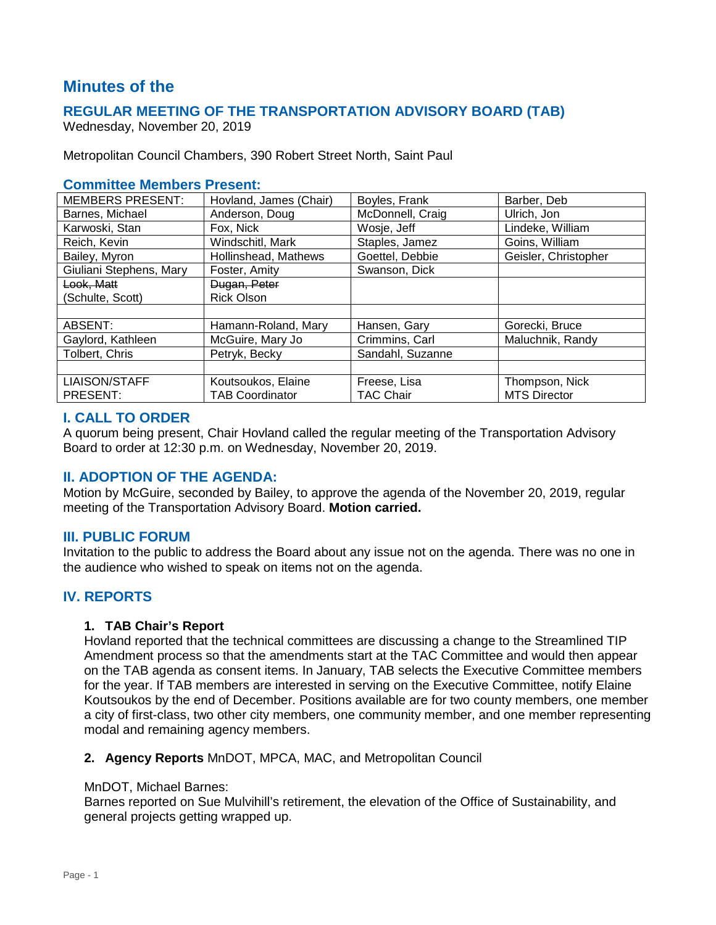# **Minutes of the**

# **REGULAR MEETING OF THE TRANSPORTATION ADVISORY BOARD (TAB)**

Wednesday, November 20, 2019

Metropolitan Council Chambers, 390 Robert Street North, Saint Paul

### **Committee Members Present:**

| <b>MEMBERS PRESENT:</b> | Hovland, James (Chair) | Boyles, Frank    | Barber, Deb          |
|-------------------------|------------------------|------------------|----------------------|
| Barnes, Michael         | Anderson, Doug         | McDonnell, Craig | Ulrich, Jon          |
| Karwoski, Stan          | Fox. Nick              | Wosje, Jeff      | Lindeke, William     |
| Reich, Kevin            | Windschitl, Mark       | Staples, Jamez   | Goins, William       |
| Bailey, Myron           | Hollinshead, Mathews   | Goettel, Debbie  | Geisler, Christopher |
| Giuliani Stephens, Mary | Foster, Amity          | Swanson, Dick    |                      |
| Look, Matt              | Dugan, Peter           |                  |                      |
| (Schulte, Scott)        | <b>Rick Olson</b>      |                  |                      |
|                         |                        |                  |                      |
| ABSENT:                 | Hamann-Roland, Mary    | Hansen, Gary     | Gorecki, Bruce       |
| Gaylord, Kathleen       | McGuire, Mary Jo       | Crimmins, Carl   | Maluchnik, Randy     |
| Tolbert, Chris          | Petryk, Becky          | Sandahl, Suzanne |                      |
|                         |                        |                  |                      |
| <b>LIAISON/STAFF</b>    | Koutsoukos, Elaine     | Freese, Lisa     | Thompson, Nick       |
| <b>PRESENT:</b>         | <b>TAB Coordinator</b> | <b>TAC Chair</b> | <b>MTS Director</b>  |

# **I. CALL TO ORDER**

A quorum being present, Chair Hovland called the regular meeting of the Transportation Advisory Board to order at 12:30 p.m. on Wednesday, November 20, 2019.

# **II. ADOPTION OF THE AGENDA:**

Motion by McGuire, seconded by Bailey, to approve the agenda of the November 20, 2019, regular meeting of the Transportation Advisory Board. **Motion carried.**

# **III. PUBLIC FORUM**

Invitation to the public to address the Board about any issue not on the agenda. There was no one in the audience who wished to speak on items not on the agenda.

# **IV. REPORTS**

#### **1. TAB Chair's Report**

Hovland reported that the technical committees are discussing a change to the Streamlined TIP Amendment process so that the amendments start at the TAC Committee and would then appear on the TAB agenda as consent items. In January, TAB selects the Executive Committee members for the year. If TAB members are interested in serving on the Executive Committee, notify Elaine Koutsoukos by the end of December. Positions available are for two county members, one member a city of first-class, two other city members, one community member, and one member representing modal and remaining agency members.

#### **2. Agency Reports** MnDOT, MPCA, MAC, and Metropolitan Council

#### MnDOT, Michael Barnes:

Barnes reported on Sue Mulvihill's retirement, the elevation of the Office of Sustainability, and general projects getting wrapped up.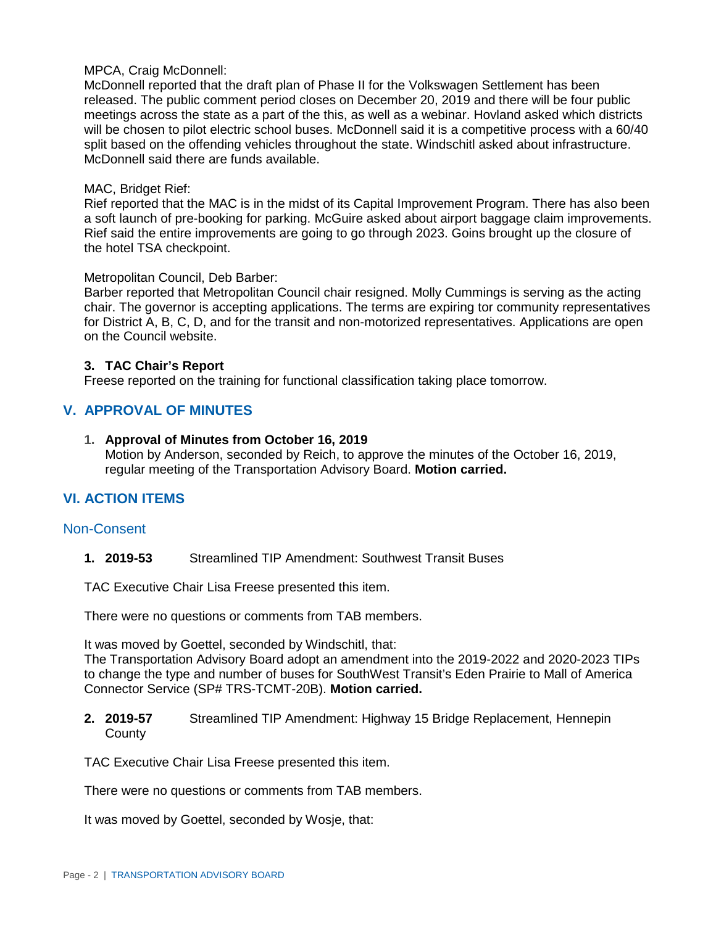### MPCA, Craig McDonnell:

McDonnell reported that the draft plan of Phase II for the Volkswagen Settlement has been released. The public comment period closes on December 20, 2019 and there will be four public meetings across the state as a part of the this, as well as a webinar. Hovland asked which districts will be chosen to pilot electric school buses. McDonnell said it is a competitive process with a 60/40 split based on the offending vehicles throughout the state. Windschitl asked about infrastructure. McDonnell said there are funds available.

#### MAC, Bridget Rief:

Rief reported that the MAC is in the midst of its Capital Improvement Program. There has also been a soft launch of pre-booking for parking. McGuire asked about airport baggage claim improvements. Rief said the entire improvements are going to go through 2023. Goins brought up the closure of the hotel TSA checkpoint.

### Metropolitan Council, Deb Barber:

Barber reported that Metropolitan Council chair resigned. Molly Cummings is serving as the acting chair. The governor is accepting applications. The terms are expiring tor community representatives for District A, B, C, D, and for the transit and non-motorized representatives. Applications are open on the Council website.

### **3. TAC Chair's Report**

Freese reported on the training for functional classification taking place tomorrow.

# **V. APPROVAL OF MINUTES**

#### **1. Approval of Minutes from October 16, 2019**

Motion by Anderson, seconded by Reich, to approve the minutes of the October 16, 2019, regular meeting of the Transportation Advisory Board. **Motion carried.**

# **VI. ACTION ITEMS**

# Non-Consent

**1. 2019-53** Streamlined TIP Amendment: Southwest Transit Buses

TAC Executive Chair Lisa Freese presented this item.

There were no questions or comments from TAB members.

It was moved by Goettel, seconded by Windschitl, that:

The Transportation Advisory Board adopt an amendment into the 2019-2022 and 2020-2023 TIPs to change the type and number of buses for SouthWest Transit's Eden Prairie to Mall of America Connector Service (SP# TRS-TCMT-20B). **Motion carried.**

**2. 2019-57** Streamlined TIP Amendment: Highway 15 Bridge Replacement, Hennepin **County** 

TAC Executive Chair Lisa Freese presented this item.

There were no questions or comments from TAB members.

It was moved by Goettel, seconded by Wosje, that: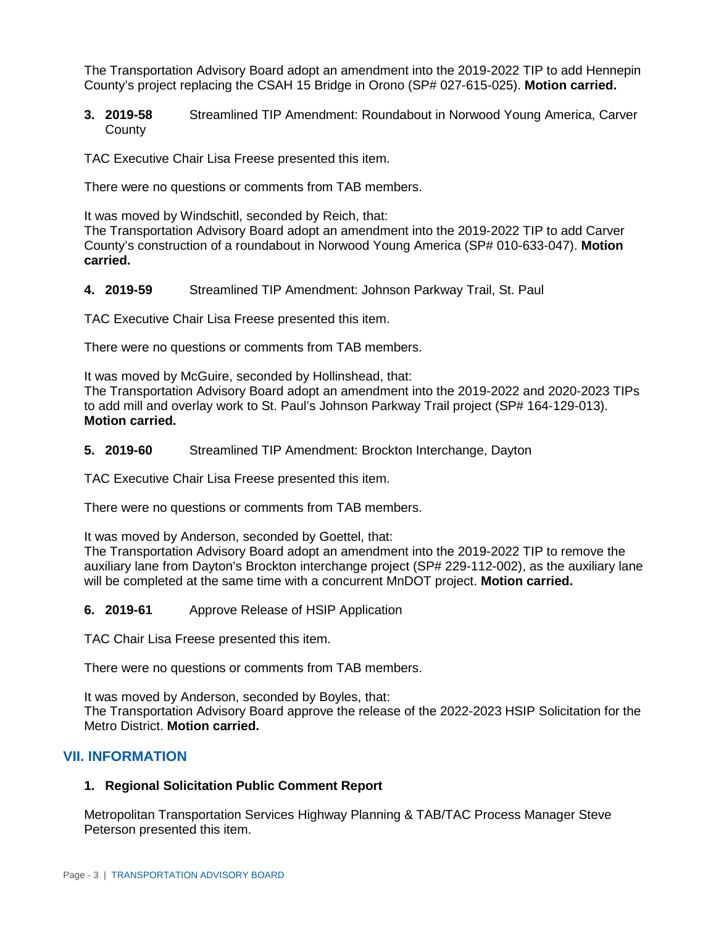The Transportation Advisory Board adopt an amendment into the 2019-2022 TIP to add Hennepin County's project replacing the CSAH 15 Bridge in Orono (SP# 027-615-025). **Motion carried.**

**3. 2019-58** Streamlined TIP Amendment: Roundabout in Norwood Young America, Carver **County** 

TAC Executive Chair Lisa Freese presented this item.

There were no questions or comments from TAB members.

It was moved by Windschitl, seconded by Reich, that:

The Transportation Advisory Board adopt an amendment into the 2019-2022 TIP to add Carver County's construction of a roundabout in Norwood Young America (SP# 010-633-047). **Motion carried.**

**4. 2019-59** Streamlined TIP Amendment: Johnson Parkway Trail, St. Paul

TAC Executive Chair Lisa Freese presented this item.

There were no questions or comments from TAB members.

It was moved by McGuire, seconded by Hollinshead, that:

The Transportation Advisory Board adopt an amendment into the 2019-2022 and 2020-2023 TIPs to add mill and overlay work to St. Paul's Johnson Parkway Trail project (SP# 164-129-013). **Motion carried.**

**5. 2019-60** Streamlined TIP Amendment: Brockton Interchange, Dayton

TAC Executive Chair Lisa Freese presented this item.

There were no questions or comments from TAB members.

It was moved by Anderson, seconded by Goettel, that:

The Transportation Advisory Board adopt an amendment into the 2019-2022 TIP to remove the auxiliary lane from Dayton's Brockton interchange project (SP# 229-112-002), as the auxiliary lane will be completed at the same time with a concurrent MnDOT project. **Motion carried.**

**6. 2019-61** Approve Release of HSIP Application

TAC Chair Lisa Freese presented this item.

There were no questions or comments from TAB members.

It was moved by Anderson, seconded by Boyles, that: The Transportation Advisory Board approve the release of the 2022-2023 HSIP Solicitation for the Metro District. **Motion carried.**

# **VII. INFORMATION**

# **1. Regional Solicitation Public Comment Report**

Metropolitan Transportation Services Highway Planning & TAB/TAC Process Manager Steve Peterson presented this item.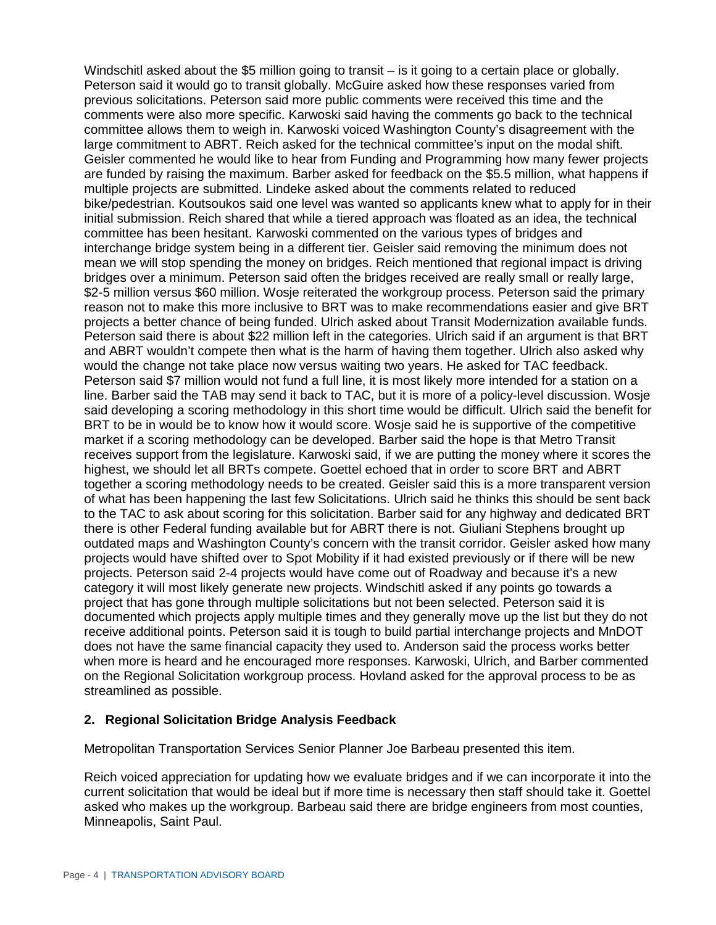Windschitl asked about the \$5 million going to transit – is it going to a certain place or globally. Peterson said it would go to transit globally. McGuire asked how these responses varied from previous solicitations. Peterson said more public comments were received this time and the comments were also more specific. Karwoski said having the comments go back to the technical committee allows them to weigh in. Karwoski voiced Washington County's disagreement with the large commitment to ABRT. Reich asked for the technical committee's input on the modal shift. Geisler commented he would like to hear from Funding and Programming how many fewer projects are funded by raising the maximum. Barber asked for feedback on the \$5.5 million, what happens if multiple projects are submitted. Lindeke asked about the comments related to reduced bike/pedestrian. Koutsoukos said one level was wanted so applicants knew what to apply for in their initial submission. Reich shared that while a tiered approach was floated as an idea, the technical committee has been hesitant. Karwoski commented on the various types of bridges and interchange bridge system being in a different tier. Geisler said removing the minimum does not mean we will stop spending the money on bridges. Reich mentioned that regional impact is driving bridges over a minimum. Peterson said often the bridges received are really small or really large, \$2-5 million versus \$60 million. Wosje reiterated the workgroup process. Peterson said the primary reason not to make this more inclusive to BRT was to make recommendations easier and give BRT projects a better chance of being funded. Ulrich asked about Transit Modernization available funds. Peterson said there is about \$22 million left in the categories. Ulrich said if an argument is that BRT and ABRT wouldn't compete then what is the harm of having them together. Ulrich also asked why would the change not take place now versus waiting two years. He asked for TAC feedback. Peterson said \$7 million would not fund a full line, it is most likely more intended for a station on a line. Barber said the TAB may send it back to TAC, but it is more of a policy-level discussion. Wosje said developing a scoring methodology in this short time would be difficult. Ulrich said the benefit for BRT to be in would be to know how it would score. Wosje said he is supportive of the competitive market if a scoring methodology can be developed. Barber said the hope is that Metro Transit receives support from the legislature. Karwoski said, if we are putting the money where it scores the highest, we should let all BRTs compete. Goettel echoed that in order to score BRT and ABRT together a scoring methodology needs to be created. Geisler said this is a more transparent version of what has been happening the last few Solicitations. Ulrich said he thinks this should be sent back to the TAC to ask about scoring for this solicitation. Barber said for any highway and dedicated BRT there is other Federal funding available but for ABRT there is not. Giuliani Stephens brought up outdated maps and Washington County's concern with the transit corridor. Geisler asked how many projects would have shifted over to Spot Mobility if it had existed previously or if there will be new projects. Peterson said 2-4 projects would have come out of Roadway and because it's a new category it will most likely generate new projects. Windschitl asked if any points go towards a project that has gone through multiple solicitations but not been selected. Peterson said it is documented which projects apply multiple times and they generally move up the list but they do not receive additional points. Peterson said it is tough to build partial interchange projects and MnDOT does not have the same financial capacity they used to. Anderson said the process works better when more is heard and he encouraged more responses. Karwoski, Ulrich, and Barber commented on the Regional Solicitation workgroup process. Hovland asked for the approval process to be as streamlined as possible.

# **2. Regional Solicitation Bridge Analysis Feedback**

Metropolitan Transportation Services Senior Planner Joe Barbeau presented this item.

Reich voiced appreciation for updating how we evaluate bridges and if we can incorporate it into the current solicitation that would be ideal but if more time is necessary then staff should take it. Goettel asked who makes up the workgroup. Barbeau said there are bridge engineers from most counties, Minneapolis, Saint Paul.